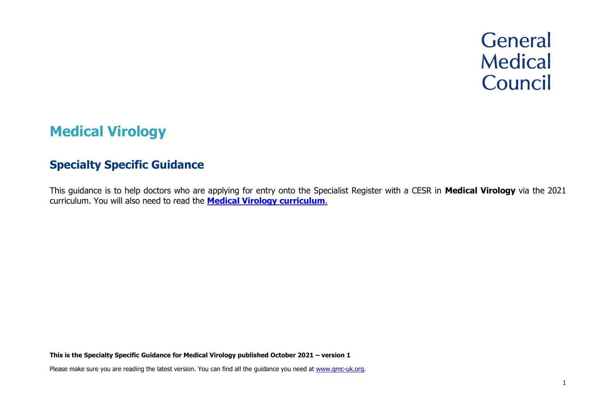# **General Medical** Council

# **Medical Virology**

# **Specialty Specific Guidance**

This guidance is to help doctors who are applying for entry onto the Specialist Register with a CESR in **Medical Virology** via the 2021 curriculum. You will also need to read the **[Medical Virology](https://www.gmc-uk.org/education/standards-guidance-and-curricula/curricula/medical-virology-curriculum) curriculum**.

**This is the Specialty Specific Guidance for Medical Virology published October 2021 – version 1**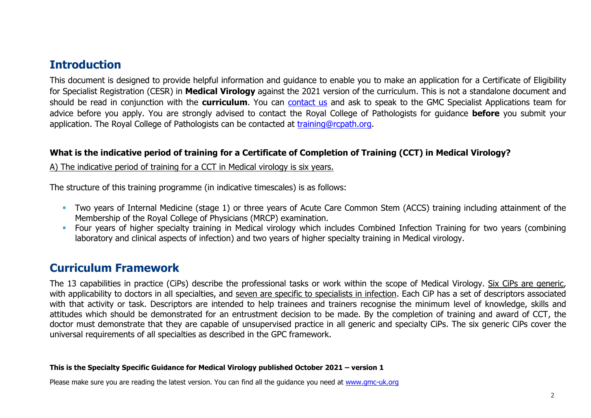# **Introduction**

This document is designed to provide helpful information and guidance to enable you to make an application for a Certificate of Eligibility for Specialist Registration (CESR) in **Medical Virology** against the 2021 version of the curriculum. This is not a standalone document and should be read in conjunction with the **curriculum**. You can [contact us](http://www.gmc-uk.org/about/contacts.asp) and ask to speak to the GMC Specialist Applications team for advice before you apply. You are strongly advised to contact the Royal College of Pathologists for guidance **before** you submit your application. The Royal College of Pathologists can be contacted at [training@rcpath.org.](mailto:training@rcpath.org)

#### **What is the indicative period of training for a Certificate of Completion of Training (CCT) in Medical Virology?**

A) The indicative period of training for a CCT in Medical virology is six years.

The structure of this training programme (in indicative timescales) is as follows:

- **•** Two years of Internal Medicine (stage 1) or three years of Acute Care Common Stem (ACCS) training including attainment of the Membership of the Royal College of Physicians (MRCP) examination.
- **•** Four years of higher specialty training in Medical virology which includes Combined Infection Training for two years (combining laboratory and clinical aspects of infection) and two years of higher specialty training in Medical virology.

# **Curriculum Framework**

The 13 capabilities in practice (CiPs) describe the professional tasks or work within the scope of Medical Virology. Six CiPs are generic, with applicability to doctors in all specialties, and seven are specific to specialists in infection. Each CiP has a set of descriptors associated with that activity or task. Descriptors are intended to help trainees and trainers recognise the minimum level of knowledge, skills and attitudes which should be demonstrated for an entrustment decision to be made. By the completion of training and award of CCT, the doctor must demonstrate that they are capable of unsupervised practice in all generic and specialty CiPs. The six generic CiPs cover the universal requirements of all specialties as described in the GPC framework.

#### **This is the Specialty Specific Guidance for Medical Virology published October 2021 – version 1**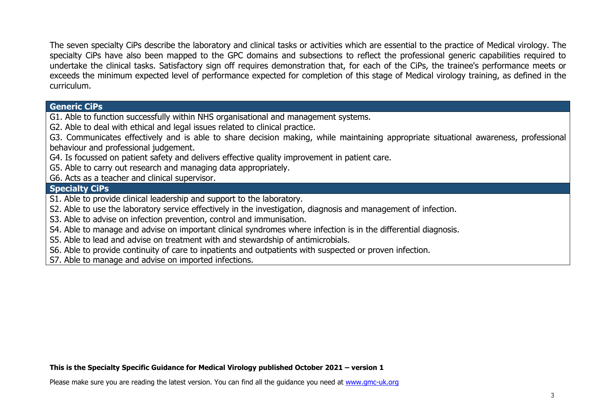The seven specialty CiPs describe the laboratory and clinical tasks or activities which are essential to the practice of Medical virology. The specialty CiPs have also been mapped to the GPC domains and subsections to reflect the professional generic capabilities required to undertake the clinical tasks. Satisfactory sign off requires demonstration that, for each of the CiPs, the trainee's performance meets or exceeds the minimum expected level of performance expected for completion of this stage of Medical virology training, as defined in the curriculum.

#### **Generic CiPs**

G1. Able to function successfully within NHS organisational and management systems.

G2. Able to deal with ethical and legal issues related to clinical practice.

G3. Communicates effectively and is able to share decision making, while maintaining appropriate situational awareness, professional behaviour and professional judgement.

G4. Is focussed on patient safety and delivers effective quality improvement in patient care.

G5. Able to carry out research and managing data appropriately.

G6. Acts as a teacher and clinical supervisor.

#### **Specialty CiPs**

S1. Able to provide clinical leadership and support to the laboratory.

S2. Able to use the laboratory service effectively in the investigation, diagnosis and management of infection.

S3. Able to advise on infection prevention, control and immunisation.

S4. Able to manage and advise on important clinical syndromes where infection is in the differential diagnosis.

S5. Able to lead and advise on treatment with and stewardship of antimicrobials.

S6. Able to provide continuity of care to inpatients and outpatients with suspected or proven infection.

S7. Able to manage and advise on imported infections.

#### **This is the Specialty Specific Guidance for Medical Virology published October 2021 – version 1**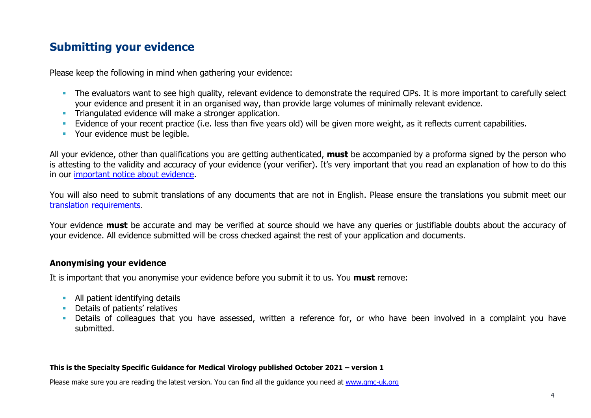# **Submitting your evidence**

Please keep the following in mind when gathering your evidence:

- **•** The evaluators want to see high quality, relevant evidence to demonstrate the required CiPs. It is more important to carefully select your evidence and present it in an organised way, than provide large volumes of minimally relevant evidence.
- **EXECT** Triangulated evidence will make a stronger application.
- **Example 10** Evidence of your recent practice (i.e. less than five years old) will be given more weight, as it reflects current capabilities.
- Your evidence must be legible.

All your evidence, other than qualifications you are getting authenticated, **must** be accompanied by a proforma signed by the person who is attesting to the validity and accuracy of your evidence (your verifier). It's very important that you read an explanation of how to do this in our [important notice about evidence.](http://www.gmc-uk.org/doctors/evidence_notice.asp)

You will also need to submit translations of any documents that are not in English. Please ensure the translations you submit meet our [translation requirements.](http://www.gmc-uk.org/doctors/translations.asp)

Your evidence **must** be accurate and may be verified at source should we have any queries or justifiable doubts about the accuracy of your evidence. All evidence submitted will be cross checked against the rest of your application and documents.

#### **Anonymising your evidence**

It is important that you anonymise your evidence before you submit it to us. You **must** remove:

- **E** All patient identifying details
- **•** Details of patients' relatives
- **•** Details of colleagues that you have assessed, written a reference for, or who have been involved in a complaint you have submitted.

#### **This is the Specialty Specific Guidance for Medical Virology published October 2021 – version 1**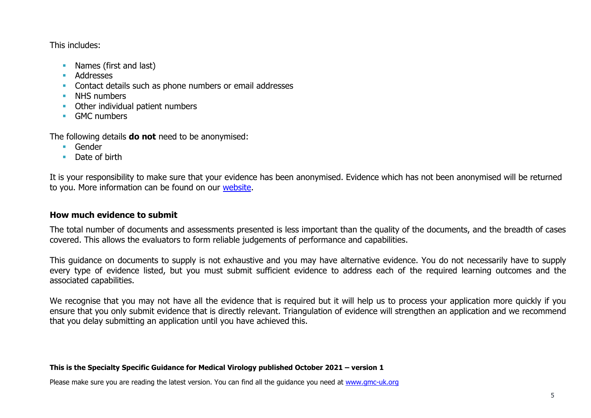This includes:

- Names (first and last)
- Addresses
- **EXECONTER 19 Contact details such as phone numbers or email addresses**
- **■** NHS numbers
- Other individual patient numbers
- GMC numbers

The following details **do not** need to be anonymised:

- Gender
- Date of birth

It is your responsibility to make sure that your evidence has been anonymised. Evidence which has not been anonymised will be returned to you. More information can be found on our [website.](https://www.gmc-uk.org/registration-and-licensing/join-the-register/registration-applications/cesr-cegpr-application-process/anonymisation)

#### **How much evidence to submit**

The total number of documents and assessments presented is less important than the quality of the documents, and the breadth of cases covered. This allows the evaluators to form reliable judgements of performance and capabilities.

This guidance on documents to supply is not exhaustive and you may have alternative evidence. You do not necessarily have to supply every type of evidence listed, but you must submit sufficient evidence to address each of the required learning outcomes and the associated capabilities.

We recognise that you may not have all the evidence that is required but it will help us to process your application more quickly if you ensure that you only submit evidence that is directly relevant. Triangulation of evidence will strengthen an application and we recommend that you delay submitting an application until you have achieved this.

#### **This is the Specialty Specific Guidance for Medical Virology published October 2021 – version 1**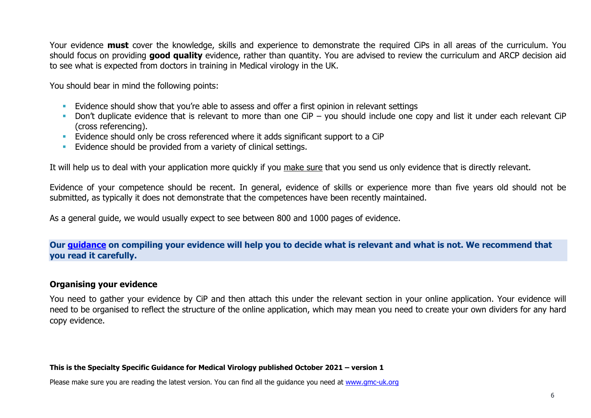Your evidence **must** cover the knowledge, skills and experience to demonstrate the required CiPs in all areas of the curriculum. You should focus on providing **good quality** evidence, rather than quantity. You are advised to review the curriculum and ARCP decision aid to see what is expected from doctors in training in Medical virology in the UK.

You should bear in mind the following points:

- **E** Evidence should show that you're able to assess and offer a first opinion in relevant settings
- **•** Don't duplicate evidence that is relevant to more than one CiP you should include one copy and list it under each relevant CiP (cross referencing).
- **Evidence should only be cross referenced where it adds significant support to a CiP**
- **Evidence should be provided from a variety of clinical settings.**

It will help us to deal with your application more quickly if you make sure that you send us only evidence that is directly relevant.

Evidence of your competence should be recent. In general, evidence of skills or experience more than five years old should not be submitted, as typically it does not demonstrate that the competences have been recently maintained.

As a general guide, we would usually expect to see between 800 and 1000 pages of evidence.

#### **Our [guidance](https://www.gmc-uk.org/-/media/documents/sat---cesr-cegpr-online-application---user-guide---dc11550_pdf-76194730.pdf) on compiling your evidence will help you to decide what is relevant and what is not. We recommend that you read it carefully.**

#### **Organising your evidence**

You need to gather your evidence by CiP and then attach this under the relevant section in your online application. Your evidence will need to be organised to reflect the structure of the online application, which may mean you need to create your own dividers for any hard copy evidence.

#### **This is the Specialty Specific Guidance for Medical Virology published October 2021 – version 1**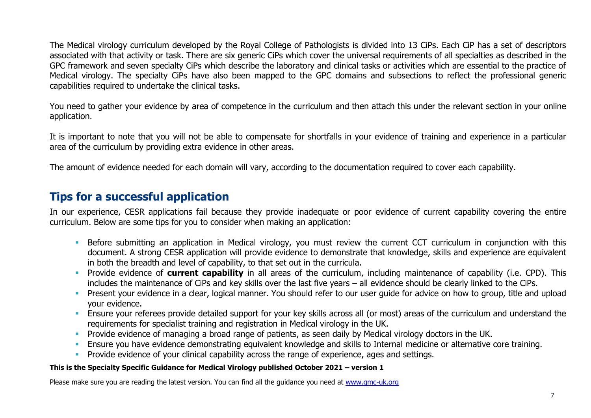The Medical virology curriculum developed by the Royal College of Pathologists is divided into 13 CiPs. Each CiP has a set of descriptors associated with that activity or task. There are six generic CiPs which cover the universal requirements of all specialties as described in the GPC framework and seven specialty CiPs which describe the laboratory and clinical tasks or activities which are essential to the practice of Medical virology. The specialty CiPs have also been mapped to the GPC domains and subsections to reflect the professional generic capabilities required to undertake the clinical tasks.

You need to gather your evidence by area of competence in the curriculum and then attach this under the relevant section in your online application.

It is important to note that you will not be able to compensate for shortfalls in your evidence of training and experience in a particular area of the curriculum by providing extra evidence in other areas.

The amount of evidence needed for each domain will vary, according to the documentation required to cover each capability.

# **Tips for a successful application**

In our experience, CESR applications fail because they provide inadequate or poor evidence of current capability covering the entire curriculum. Below are some tips for you to consider when making an application:

- **E.** Before submitting an application in Medical virology, you must review the current CCT curriculum in conjunction with this document. A strong CESR application will provide evidence to demonstrate that knowledge, skills and experience are equivalent in both the breadth and level of capability, to that set out in the curricula.
- Provide evidence of **current capability** in all areas of the curriculum, including maintenance of capability (i.e. CPD). This includes the maintenance of CiPs and key skills over the last five years – all evidence should be clearly linked to the CiPs.
- **•** Present your evidence in a clear, logical manner. You should refer to our user guide for advice on how to group, title and upload your evidence.
- **Ensure your referees provide detailed support for your key skills across all (or most) areas of the curriculum and understand the** requirements for specialist training and registration in Medical virology in the UK.
- **•** Provide evidence of managing a broad range of patients, as seen daily by Medical virology doctors in the UK.
- **Ensure you have evidence demonstrating equivalent knowledge and skills to Internal medicine or alternative core training.**
- **•** Provide evidence of your clinical capability across the range of experience, ages and settings.

#### **This is the Specialty Specific Guidance for Medical Virology published October 2021 – version 1**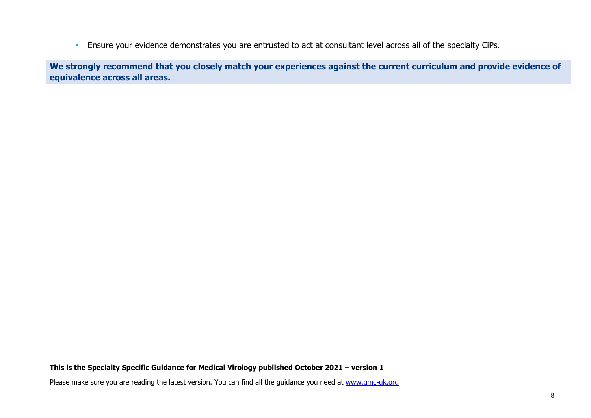**Ensure your evidence demonstrates you are entrusted to act at consultant level across all of the specialty CiPs.** 

**We strongly recommend that you closely match your experiences against the current curriculum and provide evidence of equivalence across all areas.** 

#### **This is the Specialty Specific Guidance for Medical Virology published October 2021 – version 1**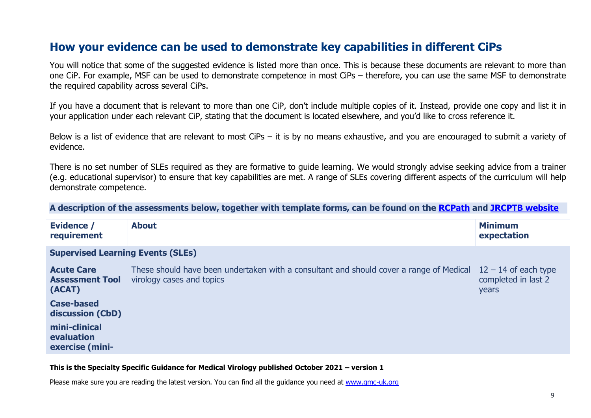## **How your evidence can be used to demonstrate key capabilities in different CiPs**

You will notice that some of the suggested evidence is listed more than once. This is because these documents are relevant to more than one CiP. For example, MSF can be used to demonstrate competence in most CiPs – therefore, you can use the same MSF to demonstrate the required capability across several CiPs.

If you have a document that is relevant to more than one CiP, don't include multiple copies of it. Instead, provide one copy and list it in your application under each relevant CiP, stating that the document is located elsewhere, and you'd like to cross reference it.

Below is a list of evidence that are relevant to most CiPs – it is by no means exhaustive, and you are encouraged to submit a variety of evidence.

There is no set number of SLEs required as they are formative to guide learning. We would strongly advise seeking advice from a trainer (e.g. educational supervisor) to ensure that key capabilities are met. A range of SLEs covering different aspects of the curriculum will help demonstrate competence.

**A description of the assessments below, together with template forms, can be found on the [RCPath](https://www.rcpath.org/trainees/assessment/workplace-based-assessment-wpba/medical-virology.html) and [JRCPTB website](https://www.jrcptb.org.uk/assessment/workplace-based-assessment)**

| Evidence /<br>requirement                             | <b>About</b>                                                                                                         | <b>Minimum</b><br>expectation                          |
|-------------------------------------------------------|----------------------------------------------------------------------------------------------------------------------|--------------------------------------------------------|
| <b>Supervised Learning Events (SLEs)</b>              |                                                                                                                      |                                                        |
| <b>Acute Care</b><br><b>Assessment Tool</b><br>(ACAT) | These should have been undertaken with a consultant and should cover a range of Medical<br>virology cases and topics | $12 - 14$ of each type<br>completed in last 2<br>years |
| <b>Case-based</b><br>discussion (CbD)                 |                                                                                                                      |                                                        |
| mini-clinical<br>evaluation<br>exercise (mini-        |                                                                                                                      |                                                        |

#### **This is the Specialty Specific Guidance for Medical Virology published October 2021 – version 1**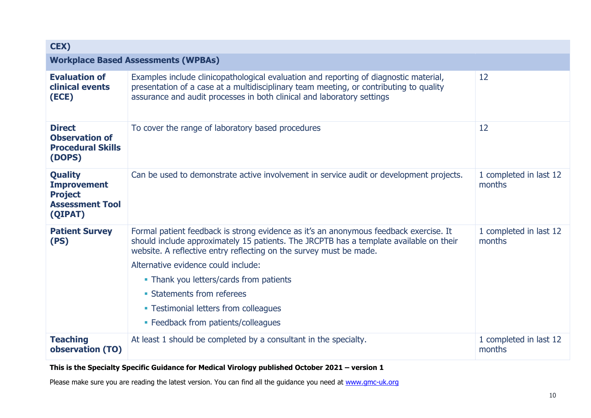| CEX)                                                                                        |                                                                                                                                                                                                                                                                                                                                                                                                                                                       |                                  |
|---------------------------------------------------------------------------------------------|-------------------------------------------------------------------------------------------------------------------------------------------------------------------------------------------------------------------------------------------------------------------------------------------------------------------------------------------------------------------------------------------------------------------------------------------------------|----------------------------------|
|                                                                                             | <b>Workplace Based Assessments (WPBAs)</b>                                                                                                                                                                                                                                                                                                                                                                                                            |                                  |
| <b>Evaluation of</b><br>clinical events<br>(ECE)                                            | Examples include clinicopathological evaluation and reporting of diagnostic material,<br>presentation of a case at a multidisciplinary team meeting, or contributing to quality<br>assurance and audit processes in both clinical and laboratory settings                                                                                                                                                                                             | 12                               |
| <b>Direct</b><br><b>Observation of</b><br><b>Procedural Skills</b><br>(DOPS)                | To cover the range of laboratory based procedures                                                                                                                                                                                                                                                                                                                                                                                                     | 12                               |
| <b>Quality</b><br><b>Improvement</b><br><b>Project</b><br><b>Assessment Tool</b><br>(QIPAT) | Can be used to demonstrate active involvement in service audit or development projects.                                                                                                                                                                                                                                                                                                                                                               | 1 completed in last 12<br>months |
| <b>Patient Survey</b><br>(PS)                                                               | Formal patient feedback is strong evidence as it's an anonymous feedback exercise. It<br>should include approximately 15 patients. The JRCPTB has a template available on their<br>website. A reflective entry reflecting on the survey must be made.<br>Alternative evidence could include:<br>• Thank you letters/cards from patients<br>• Statements from referees<br>• Testimonial letters from colleagues<br>• Feedback from patients/colleagues | 1 completed in last 12<br>months |
| <b>Teaching</b><br>observation (TO)                                                         | At least 1 should be completed by a consultant in the specialty.                                                                                                                                                                                                                                                                                                                                                                                      | 1 completed in last 12<br>months |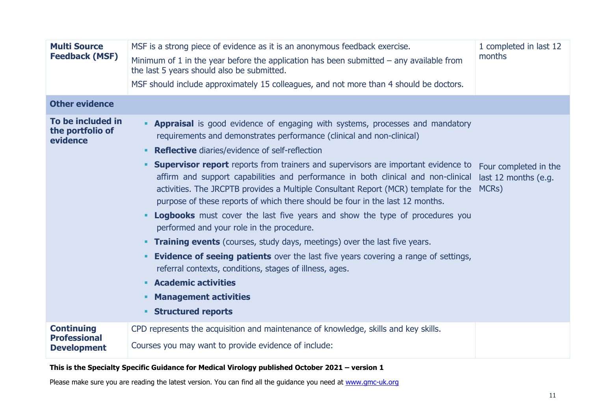| <b>Multi Source</b><br><b>Feedback (MSF)</b>                   | MSF is a strong piece of evidence as it is an anonymous feedback exercise.<br>1 completed in last 12<br>months<br>Minimum of 1 in the year before the application has been submitted $-$ any available from<br>the last 5 years should also be submitted.<br>MSF should include approximately 15 colleagues, and not more than 4 should be doctors.                                                                                                                                                                                                                                                                                                                                                                                                                                                                                                                                                                                                                                                                                                                                             |                                                        |
|----------------------------------------------------------------|-------------------------------------------------------------------------------------------------------------------------------------------------------------------------------------------------------------------------------------------------------------------------------------------------------------------------------------------------------------------------------------------------------------------------------------------------------------------------------------------------------------------------------------------------------------------------------------------------------------------------------------------------------------------------------------------------------------------------------------------------------------------------------------------------------------------------------------------------------------------------------------------------------------------------------------------------------------------------------------------------------------------------------------------------------------------------------------------------|--------------------------------------------------------|
| <b>Other evidence</b>                                          |                                                                                                                                                                                                                                                                                                                                                                                                                                                                                                                                                                                                                                                                                                                                                                                                                                                                                                                                                                                                                                                                                                 |                                                        |
| To be included in<br>the portfolio of<br>evidence              | <b>- Appraisal</b> is good evidence of engaging with systems, processes and mandatory<br>requirements and demonstrates performance (clinical and non-clinical)<br><b>Reflective</b> diaries/evidence of self-reflection<br>٠<br><b>Supervisor report</b> reports from trainers and supervisors are important evidence to<br>٠<br>affirm and support capabilities and performance in both clinical and non-clinical<br>activities. The JRCPTB provides a Multiple Consultant Report (MCR) template for the<br>purpose of these reports of which there should be four in the last 12 months.<br><b>Logbooks</b> must cover the last five years and show the type of procedures you<br>٠<br>performed and your role in the procedure.<br><b>Training events</b> (courses, study days, meetings) over the last five years.<br>٠.<br><b>Evidence of seeing patients</b> over the last five years covering a range of settings,<br>٠<br>referral contexts, conditions, stages of illness, ages.<br><b>Academic activities</b><br>۰.<br><b>Management activities</b><br>٠<br><b>Structured reports</b> | Four completed in the<br>last 12 months (e.g.<br>MCRs) |
| <b>Continuing</b><br><b>Professional</b><br><b>Development</b> | CPD represents the acquisition and maintenance of knowledge, skills and key skills.<br>Courses you may want to provide evidence of include:                                                                                                                                                                                                                                                                                                                                                                                                                                                                                                                                                                                                                                                                                                                                                                                                                                                                                                                                                     |                                                        |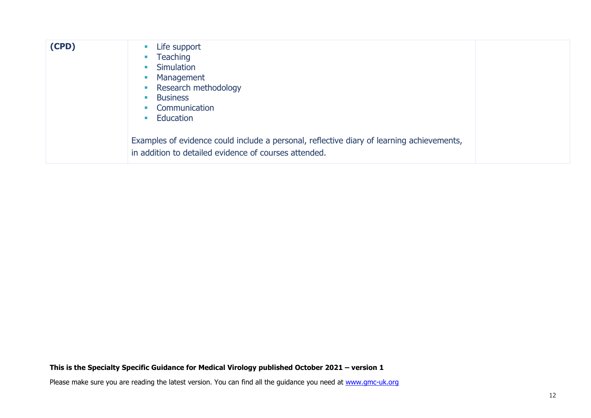| (CPD) | Life support<br>$\mathcal{L}_{\mathcal{A}}$<br>Teaching<br>$\mathcal{L}_{\mathcal{A}}$<br>Simulation<br>$\mathcal{L}_{\mathcal{A}}$<br>Management<br><b>CONTRACTOR</b><br>• Research methodology<br><b>Business</b><br>$\mathcal{L}_{\mathcal{A}}$<br>Communication<br>$\mathcal{L}_{\rm{max}}$<br>Education<br><b>Contract</b> |  |
|-------|---------------------------------------------------------------------------------------------------------------------------------------------------------------------------------------------------------------------------------------------------------------------------------------------------------------------------------|--|
|       | Examples of evidence could include a personal, reflective diary of learning achievements,<br>in addition to detailed evidence of courses attended.                                                                                                                                                                              |  |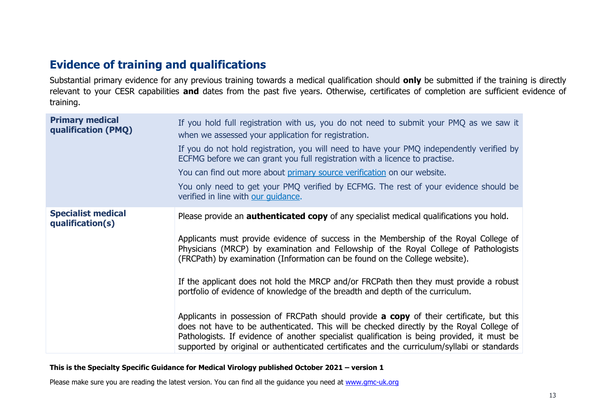# **Evidence of training and qualifications**

Substantial primary evidence for any previous training towards a medical qualification should **only** be submitted if the training is directly relevant to your CESR capabilities **and** dates from the past five years. Otherwise, certificates of completion are sufficient evidence of training.

| <b>Primary medical</b><br>qualification (PMQ) | If you hold full registration with us, you do not need to submit your PMQ as we saw it<br>when we assessed your application for registration.                                                                                                                                                                                                                                             |
|-----------------------------------------------|-------------------------------------------------------------------------------------------------------------------------------------------------------------------------------------------------------------------------------------------------------------------------------------------------------------------------------------------------------------------------------------------|
|                                               | If you do not hold registration, you will need to have your PMQ independently verified by<br>ECFMG before we can grant you full registration with a licence to practise.                                                                                                                                                                                                                  |
|                                               | You can find out more about primary source verification on our website.                                                                                                                                                                                                                                                                                                                   |
|                                               | You only need to get your PMQ verified by ECFMG. The rest of your evidence should be<br>verified in line with our guidance.                                                                                                                                                                                                                                                               |
| <b>Specialist medical</b><br>qualification(s) | Please provide an <b>authenticated copy</b> of any specialist medical qualifications you hold.                                                                                                                                                                                                                                                                                            |
|                                               | Applicants must provide evidence of success in the Membership of the Royal College of<br>Physicians (MRCP) by examination and Fellowship of the Royal College of Pathologists<br>(FRCPath) by examination (Information can be found on the College website).                                                                                                                              |
|                                               | If the applicant does not hold the MRCP and/or FRCPath then they must provide a robust<br>portfolio of evidence of knowledge of the breadth and depth of the curriculum.                                                                                                                                                                                                                  |
|                                               | Applicants in possession of FRCPath should provide <b>a copy</b> of their certificate, but this<br>does not have to be authenticated. This will be checked directly by the Royal College of<br>Pathologists. If evidence of another specialist qualification is being provided, it must be<br>supported by original or authenticated certificates and the curriculum/syllabi or standards |

#### **This is the Specialty Specific Guidance for Medical Virology published October 2021 – version 1**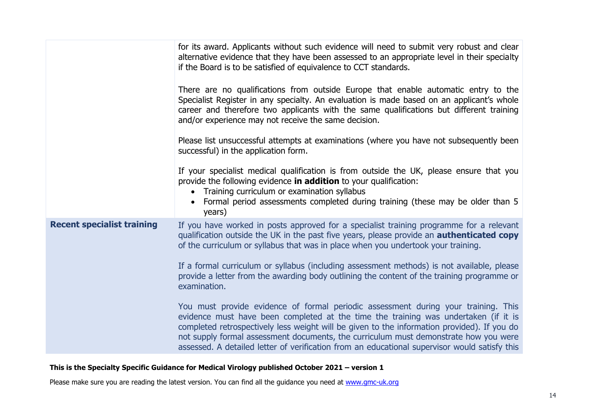|                                   | for its award. Applicants without such evidence will need to submit very robust and clear<br>alternative evidence that they have been assessed to an appropriate level in their specialty<br>if the Board is to be satisfied of equivalence to CCT standards.                                                                                                                                                                                                     |
|-----------------------------------|-------------------------------------------------------------------------------------------------------------------------------------------------------------------------------------------------------------------------------------------------------------------------------------------------------------------------------------------------------------------------------------------------------------------------------------------------------------------|
|                                   | There are no qualifications from outside Europe that enable automatic entry to the<br>Specialist Register in any specialty. An evaluation is made based on an applicant's whole<br>career and therefore two applicants with the same qualifications but different training<br>and/or experience may not receive the same decision.                                                                                                                                |
|                                   | Please list unsuccessful attempts at examinations (where you have not subsequently been<br>successful) in the application form.                                                                                                                                                                                                                                                                                                                                   |
|                                   | If your specialist medical qualification is from outside the UK, please ensure that you<br>provide the following evidence in addition to your qualification:<br>Training curriculum or examination syllabus<br>Formal period assessments completed during training (these may be older than 5<br>years)                                                                                                                                                           |
| <b>Recent specialist training</b> | If you have worked in posts approved for a specialist training programme for a relevant<br>qualification outside the UK in the past five years, please provide an <b>authenticated copy</b><br>of the curriculum or syllabus that was in place when you undertook your training.                                                                                                                                                                                  |
|                                   | If a formal curriculum or syllabus (including assessment methods) is not available, please<br>provide a letter from the awarding body outlining the content of the training programme or<br>examination.                                                                                                                                                                                                                                                          |
|                                   | You must provide evidence of formal periodic assessment during your training. This<br>evidence must have been completed at the time the training was undertaken (if it is<br>completed retrospectively less weight will be given to the information provided). If you do<br>not supply formal assessment documents, the curriculum must demonstrate how you were<br>assessed. A detailed letter of verification from an educational supervisor would satisfy this |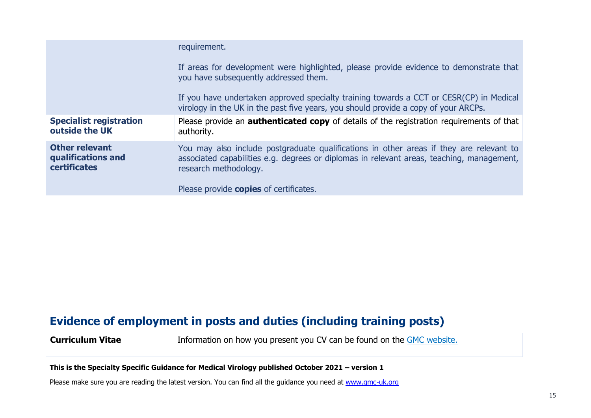|                                                                    | requirement.                                                                                                                                                                                                  |
|--------------------------------------------------------------------|---------------------------------------------------------------------------------------------------------------------------------------------------------------------------------------------------------------|
|                                                                    | If areas for development were highlighted, please provide evidence to demonstrate that<br>you have subsequently addressed them.                                                                               |
|                                                                    | If you have undertaken approved specialty training towards a CCT or CESR(CP) in Medical<br>virology in the UK in the past five years, you should provide a copy of your ARCPs.                                |
| <b>Specialist registration</b><br>outside the UK                   | Please provide an <b>authenticated copy</b> of details of the registration requirements of that<br>authority.                                                                                                 |
| <b>Other relevant</b><br>qualifications and<br><b>certificates</b> | You may also include postgraduate qualifications in other areas if they are relevant to<br>associated capabilities e.g. degrees or diplomas in relevant areas, teaching, management,<br>research methodology. |
|                                                                    | Please provide copies of certificates.                                                                                                                                                                        |

# **Evidence of employment in posts and duties (including training posts)**

**Curriculum Vitae** Information on how you present you CV can be found on the [GMC website.](https://www.gmc-uk.org/registration-and-licensing/join-the-register/registration-applications/specialist-application-guides/specialist-registration-cesr-or-cegpr/how-do-i-structure-my-cv)

#### **This is the Specialty Specific Guidance for Medical Virology published October 2021 – version 1**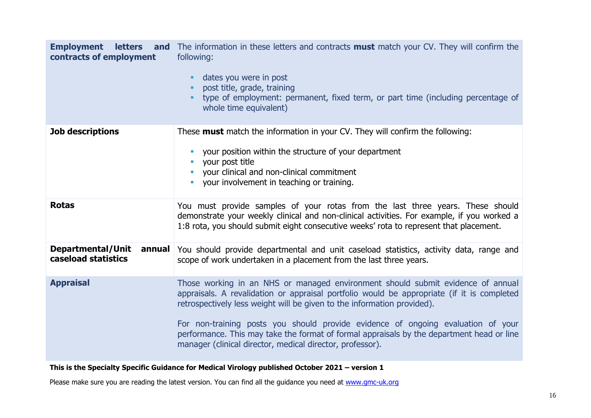| <b>Employment</b><br><b>letters</b><br>contracts of employment | <b>and</b> The information in these letters and contracts <b>must</b> match your CV. They will confirm the<br>following:<br>dates you were in post<br>post title, grade, training<br>type of employment: permanent, fixed term, or part time (including percentage of<br>whole time equivalent)                                                                                                                                                                                                        |
|----------------------------------------------------------------|--------------------------------------------------------------------------------------------------------------------------------------------------------------------------------------------------------------------------------------------------------------------------------------------------------------------------------------------------------------------------------------------------------------------------------------------------------------------------------------------------------|
| <b>Job descriptions</b>                                        | These <b>must</b> match the information in your CV. They will confirm the following:<br>your position within the structure of your department<br>your post title<br>your clinical and non-clinical commitment<br>your involvement in teaching or training.                                                                                                                                                                                                                                             |
| <b>Rotas</b>                                                   | You must provide samples of your rotas from the last three years. These should<br>demonstrate your weekly clinical and non-clinical activities. For example, if you worked a<br>1:8 rota, you should submit eight consecutive weeks' rota to represent that placement.                                                                                                                                                                                                                                 |
| Departmental/Unit<br>annual<br>caseload statistics             | You should provide departmental and unit caseload statistics, activity data, range and<br>scope of work undertaken in a placement from the last three years.                                                                                                                                                                                                                                                                                                                                           |
| <b>Appraisal</b>                                               | Those working in an NHS or managed environment should submit evidence of annual<br>appraisals. A revalidation or appraisal portfolio would be appropriate (if it is completed<br>retrospectively less weight will be given to the information provided).<br>For non-training posts you should provide evidence of ongoing evaluation of your<br>performance. This may take the format of formal appraisals by the department head or line<br>manager (clinical director, medical director, professor). |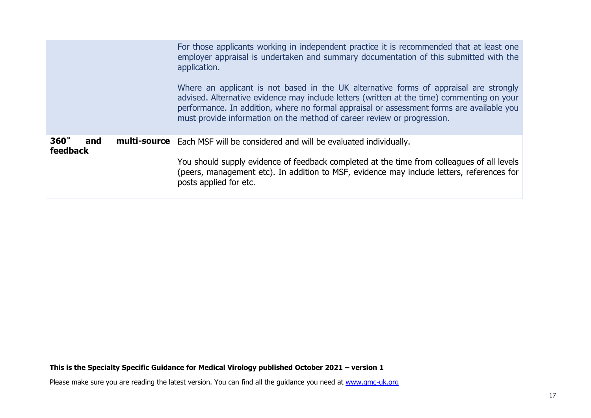|                                       | For those applicants working in independent practice it is recommended that at least one<br>employer appraisal is undertaken and summary documentation of this submitted with the<br>application.<br>Where an applicant is not based in the UK alternative forms of appraisal are strongly<br>advised. Alternative evidence may include letters (written at the time) commenting on your<br>performance. In addition, where no formal appraisal or assessment forms are available you<br>must provide information on the method of career review or progression. |
|---------------------------------------|------------------------------------------------------------------------------------------------------------------------------------------------------------------------------------------------------------------------------------------------------------------------------------------------------------------------------------------------------------------------------------------------------------------------------------------------------------------------------------------------------------------------------------------------------------------|
| $360^\circ$<br>and<br><b>feedback</b> | <b>multi-source</b>   Each MSF will be considered and will be evaluated individually.<br>You should supply evidence of feedback completed at the time from colleagues of all levels<br>(peers, management etc). In addition to MSF, evidence may include letters, references for<br>posts applied for etc.                                                                                                                                                                                                                                                       |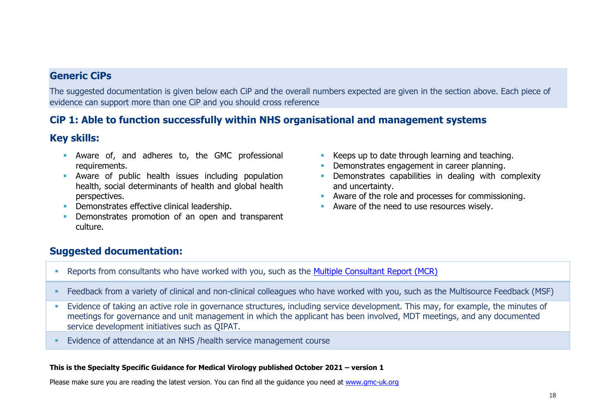### **Generic CiPs**

The suggested documentation is given below each CiP and the overall numbers expected are given in the section above. Each piece of evidence can support more than one CiP and you should cross reference

### **CiP 1: Able to function successfully within NHS organisational and management systems**

### **Key skills:**

- **E** Aware of, and adheres to, the GMC professional requirements.
- **E** Aware of public health issues including population health, social determinants of health and global health perspectives.
- **Demonstrates effective clinical leadership.**
- Demonstrates promotion of an open and transparent culture.
- Keeps up to date through learning and teaching.
- **Demonstrates engagement in career planning.**
- **•** Demonstrates capabilities in dealing with complexity and uncertainty.
- Aware of the role and processes for commissioning.
- Aware of the need to use resources wisely.

### **Suggested documentation:**

- Reports from consultants who have worked with you, such as the [Multiple Consultant Report \(MCR\)](https://www.jrcptb.org.uk/assessment/workplace-based-assessment)
- Feedback from a variety of clinical and non-clinical colleagues who have worked with you, such as the Multisource Feedback (MSF)
- **Evidence of taking an active role in governance structures, including service development. This may, for example, the minutes of** meetings for governance and unit management in which the applicant has been involved, MDT meetings, and any documented service development initiatives such as QIPAT.
- Evidence of attendance at an NHS /health service management course

#### **This is the Specialty Specific Guidance for Medical Virology published October 2021 – version 1**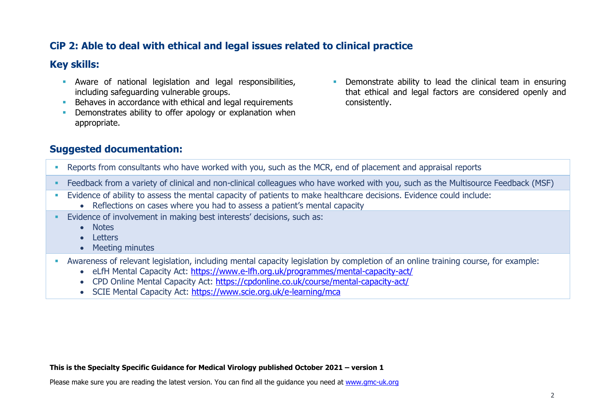### **CiP 2: Able to deal with ethical and legal issues related to clinical practice**

### **Key skills:**

- **EXECUTE:** Aware of national legislation and legal responsibilities, including safeguarding vulnerable groups.
- **EXECTE A** Behaves in accordance with ethical and legal requirements
- **•** Demonstrates ability to offer apology or explanation when appropriate.
- Demonstrate ability to lead the clinical team in ensuring that ethical and legal factors are considered openly and consistently.

### **Suggested documentation:**

- Reports from consultants who have worked with you, such as the MCR, end of placement and appraisal reports
- Feedback from a variety of clinical and non-clinical colleagues who have worked with you, such as the Multisource Feedback (MSF)
- Evidence of ability to assess the mental capacity of patients to make healthcare decisions. Evidence could include:
	- Reflections on cases where you had to assess a patient's mental capacity
- Evidence of involvement in making best interests' decisions, such as:
	- Notes
	- Letters
	- Meeting minutes
- Awareness of relevant legislation, including mental capacity legislation by completion of an online training course, for example:
	- eLfH Mental Capacity Act:<https://www.e-lfh.org.uk/programmes/mental-capacity-act/>
	- CPD Online Mental Capacity Act: <https://cpdonline.co.uk/course/mental-capacity-act/>
	- SCIE Mental Capacity Act:<https://www.scie.org.uk/e-learning/mca>

#### **This is the Specialty Specific Guidance for Medical Virology published October 2021 – version 1**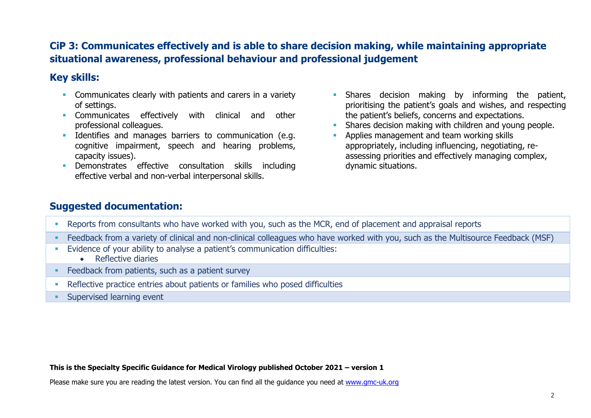### **CiP 3: Communicates effectively and is able to share decision making, while maintaining appropriate situational awareness, professional behaviour and professional judgement**

### **Key skills:**

- **EXECOMMUNICATELY COMMUNICATES** clearly with patients and carers in a variety of settings.
- **EXECOMMUNICATES** effectively with clinical and other professional colleagues.
- **EXECUTE:** Identifies and manages barriers to communication (e.g. cognitive impairment, speech and hearing problems, capacity issues).
- Demonstrates effective consultation skills including effective verbal and non-verbal interpersonal skills.
- **·** Shares decision making by informing the patient, prioritising the patient's goals and wishes, and respecting the patient's beliefs, concerns and expectations.
- Shares decision making with children and young people.
- **EXECUTE:** Applies management and team working skills appropriately, including influencing, negotiating, reassessing priorities and effectively managing complex, dynamic situations.

### **Suggested documentation:**

- Reports from consultants who have worked with you, such as the MCR, end of placement and appraisal reports
- Feedback from a variety of clinical and non-clinical colleagues who have worked with you, such as the Multisource Feedback (MSF)
- **Evidence of your ability to analyse a patient's communication difficulties:** 
	- Reflective diaries
- **EXECO FEEDBACK from patients, such as a patient survey**
- **EXECTE ENTERITY ENDIREY In A SET LETT** Reflective practice entries about patients or families who posed difficulties
- **Exercised learning event**

#### **This is the Specialty Specific Guidance for Medical Virology published October 2021 – version 1**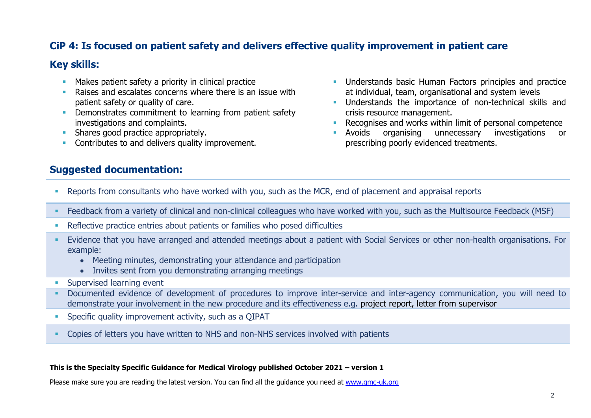### **CiP 4: Is focused on patient safety and delivers effective quality improvement in patient care**

#### **Key skills:**

- **■** Makes patient safety a priority in clinical practice
- Raises and escalates concerns where there is an issue with patient safety or quality of care.
- **Demonstrates commitment to learning from patient safety** investigations and complaints.
- **EXECUTE:** Shares good practice appropriately.
- **Contributes to and delivers quality improvement.**
- **Understands basic Human Factors principles and practice** at individual, team, organisational and system levels
- **■** Understands the importance of non-technical skills and crisis resource management.
- Recognises and works within limit of personal competence
- Avoids organising unnecessary investigations or prescribing poorly evidenced treatments.

### **Suggested documentation:**

- Reports from consultants who have worked with you, such as the MCR, end of placement and appraisal reports
- Feedback from a variety of clinical and non-clinical colleagues who have worked with you, such as the Multisource Feedback (MSF)
- Reflective practice entries about patients or families who posed difficulties
- Evidence that you have arranged and attended meetings about a patient with Social Services or other non-health organisations. For example:
	- Meeting minutes, demonstrating your attendance and participation
	- Invites sent from you demonstrating arranging meetings
- **E** Supervised learning event
- Documented evidence of development of procedures to improve inter-service and inter-agency communication, you will need to demonstrate your involvement in the new procedure and its effectiveness e.g. project report, letter from supervisor
- **•** Specific quality improvement activity, such as a QIPAT
- Copies of letters you have written to NHS and non-NHS services involved with patients

#### **This is the Specialty Specific Guidance for Medical Virology published October 2021 – version 1**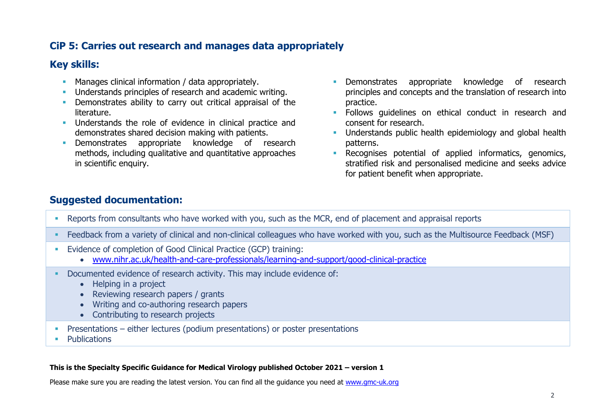### **CiP 5: Carries out research and manages data appropriately**

### **Key skills:**

- **EXECT** Manages clinical information / data appropriately.
- **Understands principles of research and academic writing.**
- **•** Demonstrates ability to carry out critical appraisal of the literature.
- **EXECUTE:** Understands the role of evidence in clinical practice and demonstrates shared decision making with patients.
- **EXECUTE:** Demonstrates appropriate knowledge of research methods, including qualitative and quantitative approaches in scientific enquiry.
- **EXECUTE:** Demonstrates appropriate knowledge of research principles and concepts and the translation of research into practice.
- **EXECUTE:** Follows guidelines on ethical conduct in research and consent for research.
- **■** Understands public health epidemiology and global health patterns.
- **EXECOGNISES potential of applied informatics, genomics,** stratified risk and personalised medicine and seeks advice for patient benefit when appropriate.

### **Suggested documentation:**

- Reports from consultants who have worked with you, such as the MCR, end of placement and appraisal reports
- **EXECT ADDE FEEDBACK from a variety of clinical and non-clinical colleagues who have worked with you, such as the Multisource Feedback (MSF)**
- Evidence of completion of Good Clinical Practice (GCP) training:
	- [www.nihr.ac.uk/health-and-care-professionals/learning-and-support/good-clinical-practice](https://www.nihr.ac.uk/health-and-care-professionals/learning-and-support/good-clinical-practice.htm)
- Documented evidence of research activity. This may include evidence of:
	- Helping in a project
	- Reviewing research papers / grants
	- Writing and co-authoring research papers
	- Contributing to research projects
- **•** Presentations either lectures (podium presentations) or poster presentations
- **Publications**

#### **This is the Specialty Specific Guidance for Medical Virology published October 2021 – version 1**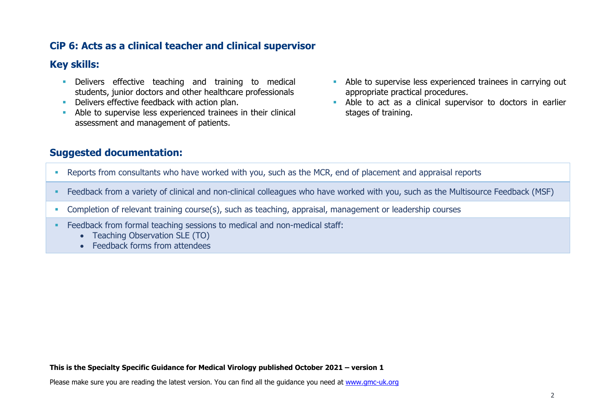### **CiP 6: Acts as a clinical teacher and clinical supervisor**

### **Key skills:**

- **EXECT** Delivers effective teaching and training to medical students, junior doctors and other healthcare professionals
- **Delivers effective feedback with action plan.**
- **EXECUTE:** Able to supervise less experienced trainees in their clinical assessment and management of patients.
- **EXECUTE:** Able to supervise less experienced trainees in carrying out appropriate practical procedures.
- **EXECT** Able to act as a clinical supervisor to doctors in earlier stages of training.

### **Suggested documentation:**

- Reports from consultants who have worked with you, such as the MCR, end of placement and appraisal reports
- Feedback from a variety of clinical and non-clinical colleagues who have worked with you, such as the Multisource Feedback (MSF)
- Completion of relevant training course(s), such as teaching, appraisal, management or leadership courses
- **Example 2** Feedback from formal teaching sessions to medical and non-medical staff:
	- Teaching Observation SLE (TO)
	- Feedback forms from attendees

#### **This is the Specialty Specific Guidance for Medical Virology published October 2021 – version 1**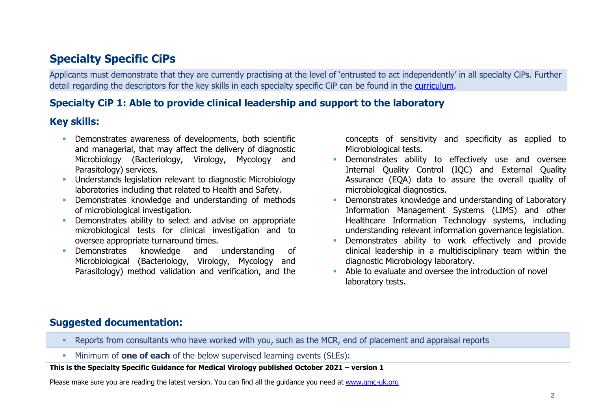# **Specialty Specific CiPs**

Applicants must demonstrate that they are currently practising at the level of 'entrusted to act independently' in all specialty CiPs. Further detail regarding the descriptors for the key skills in each specialty specific CiP can be found in the [curriculu](https://www.gmc-uk.org/education/standards-guidance-and-curricula/curricula/medical-microbiology-curriculum)m.

### **Specialty CiP 1: Able to provide clinical leadership and support to the laboratory**

### **Key skills:**

- **Demonstrates awareness of developments, both scientific** and managerial, that may affect the delivery of diagnostic Microbiology (Bacteriology, Virology, Mycology and Parasitology) services.
- **EXECUTE:** Understands legislation relevant to diagnostic Microbiology laboratories including that related to Health and Safety.
- **•** Demonstrates knowledge and understanding of methods of microbiological investigation.
- **•** Demonstrates ability to select and advise on appropriate microbiological tests for clinical investigation and to oversee appropriate turnaround times.
- Demonstrates knowledge and understanding of Microbiological (Bacteriology, Virology, Mycology and Parasitology) method validation and verification, and the

concepts of sensitivity and specificity as applied to Microbiological tests.

- **EXECTE:** Demonstrates ability to effectively use and oversee Internal Quality Control (IQC) and External Quality Assurance (EQA) data to assure the overall quality of microbiological diagnostics.
- Demonstrates knowledge and understanding of Laboratory Information Management Systems (LIMS) and other Healthcare Information Technology systems, including understanding relevant information governance legislation.
- **E** Demonstrates ability to work effectively and provide clinical leadership in a multidisciplinary team within the diagnostic Microbiology laboratory.
- Able to evaluate and oversee the introduction of novel laboratory tests.

### **Suggested documentation:**

- Reports from consultants who have worked with you, such as the MCR, end of placement and appraisal reports
- Minimum of **one of each** of the below supervised learning events (SLEs):

#### **This is the Specialty Specific Guidance for Medical Virology published October 2021 – version 1**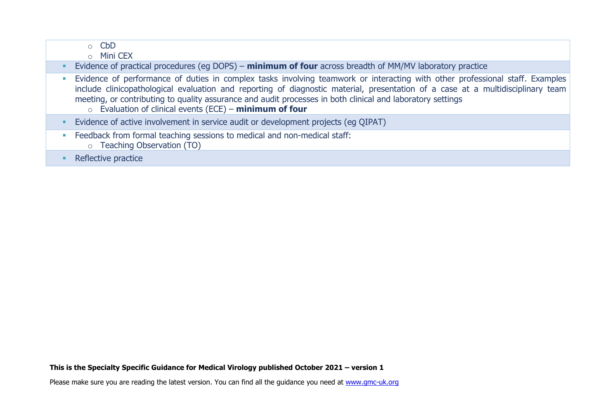|   | $\circ$ CbD<br><b>Mini CEX</b><br>$\Omega$                                                                                                                                                                                                                                                                                                                                                                                                     |
|---|------------------------------------------------------------------------------------------------------------------------------------------------------------------------------------------------------------------------------------------------------------------------------------------------------------------------------------------------------------------------------------------------------------------------------------------------|
|   | Evidence of practical procedures (eg DOPS) – minimum of four across breadth of MM/MV laboratory practice                                                                                                                                                                                                                                                                                                                                       |
|   | Evidence of performance of duties in complex tasks involving teamwork or interacting with other professional staff. Examples<br>include clinicopathological evaluation and reporting of diagnostic material, presentation of a case at a multidisciplinary team<br>meeting, or contributing to quality assurance and audit processes in both clinical and laboratory settings<br>$\circ$ Evaluation of clinical events (ECE) - minimum of four |
|   | Evidence of active involvement in service audit or development projects (eg QIPAT)                                                                                                                                                                                                                                                                                                                                                             |
| D | Feedback from formal teaching sessions to medical and non-medical staff:<br>o Teaching Observation (TO)                                                                                                                                                                                                                                                                                                                                        |
|   | Reflective practice                                                                                                                                                                                                                                                                                                                                                                                                                            |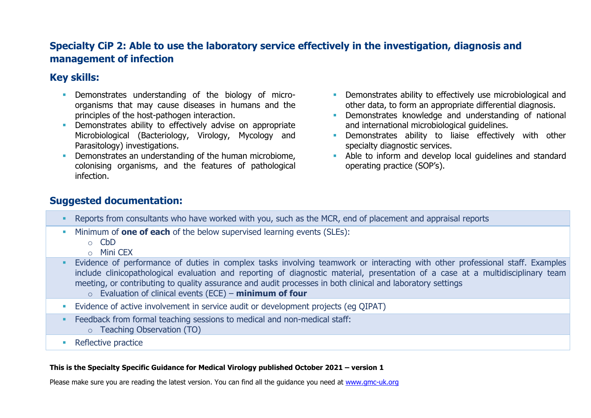### **Specialty CiP 2: Able to use the laboratory service effectively in the investigation, diagnosis and management of infection**

### **Key skills:**

- **EXECUTE:** Demonstrates understanding of the biology of microorganisms that may cause diseases in humans and the principles of the host-pathogen interaction.
- **•** Demonstrates ability to effectively advise on appropriate Microbiological (Bacteriology, Virology, Mycology and Parasitology) investigations.
- **•** Demonstrates an understanding of the human microbiome. colonising organisms, and the features of pathological infection.
- **EXECTE Demonstrates ability to effectively use microbiological and** other data, to form an appropriate differential diagnosis.
- **EXECUTE:** Demonstrates knowledge and understanding of national and international microbiological guidelines.
- **E** Demonstrates ability to liaise effectively with other specialty diagnostic services.
- Able to inform and develop local quidelines and standard operating practice (SOP's).

### **Suggested documentation:**

- Reports from consultants who have worked with you, such as the MCR, end of placement and appraisal reports
- Minimum of **one of each** of the below supervised learning events (SLEs):
	- o CbD
	- o Mini CEX
- **Evidence of performance of duties in complex tasks involving teamwork or interacting with other professional staff. Examples** include clinicopathological evaluation and reporting of diagnostic material, presentation of a case at a multidisciplinary team meeting, or contributing to quality assurance and audit processes in both clinical and laboratory settings
	- o Evaluation of clinical events (ECE) **minimum of four**
- **Evidence of active involvement in service audit or development projects (eq QIPAT)**
- **Example 2** Feedback from formal teaching sessions to medical and non-medical staff: o Teaching Observation (TO)
- Reflective practice

#### **This is the Specialty Specific Guidance for Medical Virology published October 2021 – version 1**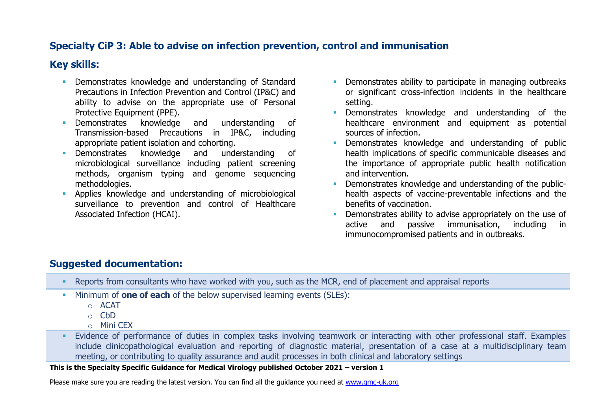### **Specialty CiP 3: Able to advise on infection prevention, control and immunisation**

### **Key skills:**

- **Demonstrates knowledge and understanding of Standard** Precautions in Infection Prevention and Control (IP&C) and ability to advise on the appropriate use of Personal Protective Equipment (PPE).
- Demonstrates knowledge and understanding of Transmission-based Precautions in IP&C, including appropriate patient isolation and cohorting.
- Demonstrates knowledge and understanding of microbiological surveillance including patient screening methods, organism typing and genome sequencing methodologies.
- Applies knowledge and understanding of microbiological surveillance to prevention and control of Healthcare Associated Infection (HCAI).
- **•** Demonstrates ability to participate in managing outbreaks or significant cross-infection incidents in the healthcare setting.
- **•** Demonstrates knowledge and understanding of the healthcare environment and equipment as potential sources of infection.
- **EXECUTE:** Demonstrates knowledge and understanding of public health implications of specific communicable diseases and the importance of appropriate public health notification and intervention.
- **Demonstrates knowledge and understanding of the public**health aspects of vaccine-preventable infections and the benefits of vaccination.
- **•** Demonstrates ability to advise appropriately on the use of active and passive immunisation, including in immunocompromised patients and in outbreaks.

### **Suggested documentation:**

- Reports from consultants who have worked with you, such as the MCR, end of placement and appraisal reports
- Minimum of **one of each** of the below supervised learning events (SLEs):
	- o ACAT
	- o CbD
	- $\circ$  Mini CFX
- **Evidence of performance of duties in complex tasks involving teamwork or interacting with other professional staff. Examples** include clinicopathological evaluation and reporting of diagnostic material, presentation of a case at a multidisciplinary team meeting, or contributing to quality assurance and audit processes in both clinical and laboratory settings

#### **This is the Specialty Specific Guidance for Medical Virology published October 2021 – version 1**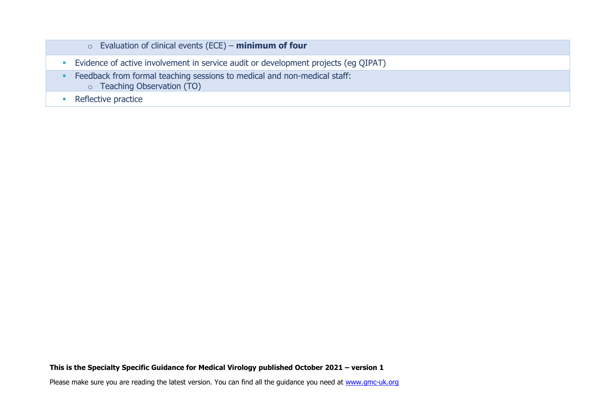| $\circ$ Evaluation of clinical events (ECE) – minimum of four                                                  |
|----------------------------------------------------------------------------------------------------------------|
| Evidence of active involvement in service audit or development projects (eg QIPAT)                             |
| Feedback from formal teaching sessions to medical and non-medical staff:<br><b>O</b> Teaching Observation (TO) |
| Reflective practice                                                                                            |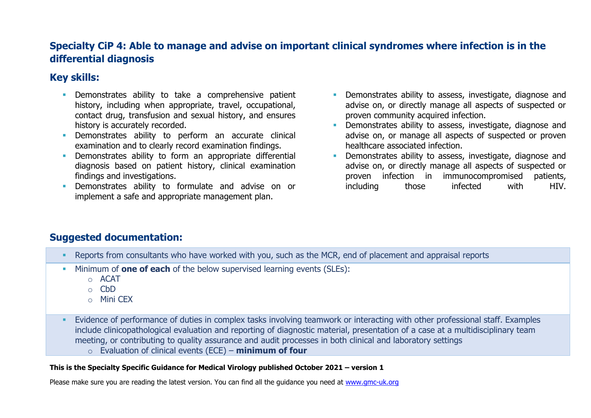### **Specialty CiP 4: Able to manage and advise on important clinical syndromes where infection is in the differential diagnosis**

### **Key skills:**

- **EXEC** Demonstrates ability to take a comprehensive patient history, including when appropriate, travel, occupational, contact drug, transfusion and sexual history, and ensures history is accurately recorded.
- Demonstrates ability to perform an accurate clinical examination and to clearly record examination findings.
- **EXECUTE:** Demonstrates ability to form an appropriate differential diagnosis based on patient history, clinical examination findings and investigations.
- Demonstrates ability to formulate and advise on or implement a safe and appropriate management plan.
- **•** Demonstrates ability to assess, investigate, diagnose and advise on, or directly manage all aspects of suspected or proven community acquired infection.
- **•** Demonstrates ability to assess, investigate, diagnose and advise on, or manage all aspects of suspected or proven healthcare associated infection.
- Demonstrates ability to assess, investigate, diagnose and advise on, or directly manage all aspects of suspected or proven infection in immunocompromised patients, including those infected with HIV.

### **Suggested documentation:**

- Reports from consultants who have worked with you, such as the MCR, end of placement and appraisal reports
- Minimum of **one of each** of the below supervised learning events (SLEs):
	- o ACAT
	- o CbD
	- o Mini CEX
- **Evidence of performance of duties in complex tasks involving teamwork or interacting with other professional staff. Examples** include clinicopathological evaluation and reporting of diagnostic material, presentation of a case at a multidisciplinary team meeting, or contributing to quality assurance and audit processes in both clinical and laboratory settings o Evaluation of clinical events (ECE) – **minimum of four**

#### **This is the Specialty Specific Guidance for Medical Virology published October 2021 – version 1**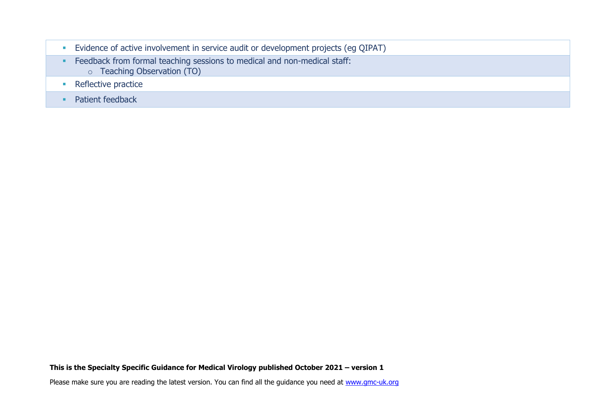| Evidence of active involvement in service audit or development projects (eg QIPAT)                             |
|----------------------------------------------------------------------------------------------------------------|
| Feedback from formal teaching sessions to medical and non-medical staff:<br><b>O</b> Teaching Observation (TO) |
| Reflective practice                                                                                            |
| Patient feedback                                                                                               |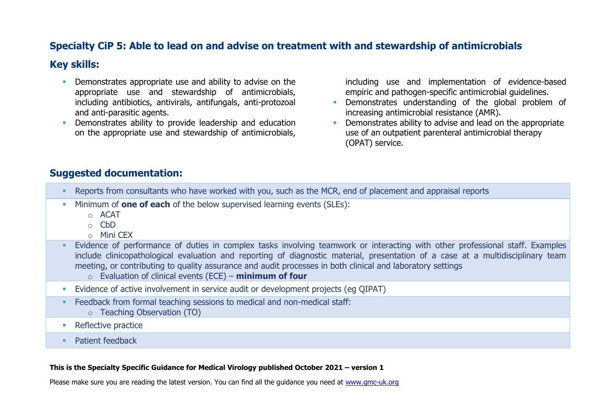### **Specialty CiP 5: Able to lead on and advise on treatment with and stewardship of antimicrobials**

#### **Key skills:**

- **•** Demonstrates appropriate use and ability to advise on the appropriate use and stewardship of antimicrobials, including antibiotics, antivirals, antifungals, anti-protozoal and anti-parasitic agents.
- **•** Demonstrates ability to provide leadership and education on the appropriate use and stewardship of antimicrobials,

including use and implementation of evidence-based empiric and pathogen-specific antimicrobial guidelines.

- **•** Demonstrates understanding of the global problem of increasing antimicrobial resistance (AMR).
- Demonstrates ability to advise and lead on the appropriate use of an outpatient parenteral antimicrobial therapy (OPAT) service.

#### **Suggested documentation:**

- Reports from consultants who have worked with you, such as the MCR, end of placement and appraisal reports
- Minimum of **one of each** of the below supervised learning events (SLEs):
	- o ACAT
	- o CbD
	- o Mini CEX
- **Evidence of performance of duties in complex tasks involving teamwork or interacting with other professional staff. Examples** include clinicopathological evaluation and reporting of diagnostic material, presentation of a case at a multidisciplinary team meeting, or contributing to quality assurance and audit processes in both clinical and laboratory settings
	- o Evaluation of clinical events (ECE) **minimum of four**
- **Evidence of active involvement in service audit or development projects (eq QIPAT)**
- Feedback from formal teaching sessions to medical and non-medical staff: o Teaching Observation (TO)
- Reflective practice
- Patient feedback

#### **This is the Specialty Specific Guidance for Medical Virology published October 2021 – version 1**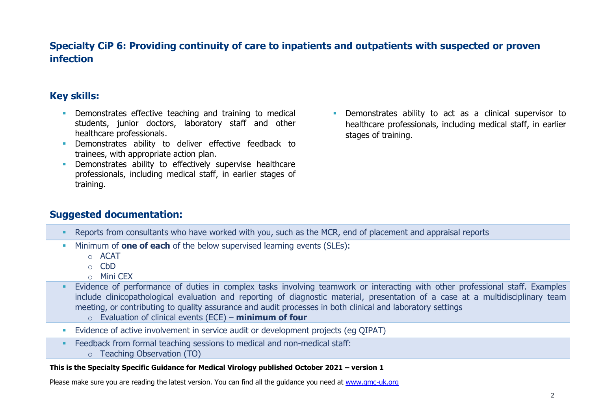### **Specialty CiP 6: Providing continuity of care to inpatients and outpatients with suspected or proven infection**

### **Key skills:**

- **EXECT** Demonstrates effective teaching and training to medical students, junior doctors, laboratory staff and other healthcare professionals.
- **·** Demonstrates ability to deliver effective feedback to trainees, with appropriate action plan.
- **EXECT** Demonstrates ability to effectively supervise healthcare professionals, including medical staff, in earlier stages of training.
- **EXECUTE:** Demonstrates ability to act as a clinical supervisor to healthcare professionals, including medical staff, in earlier stages of training.

### **Suggested documentation:**

- Reports from consultants who have worked with you, such as the MCR, end of placement and appraisal reports
- Minimum of **one of each** of the below supervised learning events (SLEs):
	- o ACAT
	- o CbD
	- $\circ$  Mini CFX
- **Evidence of performance of duties in complex tasks involving teamwork or interacting with other professional staff. Examples** include clinicopathological evaluation and reporting of diagnostic material, presentation of a case at a multidisciplinary team meeting, or contributing to quality assurance and audit processes in both clinical and laboratory settings
	- o Evaluation of clinical events (ECE) **minimum of four**
- **Evidence of active involvement in service audit or development projects (eq QIPAT)**
- **Example 2** Feedback from formal teaching sessions to medical and non-medical staff:
	- o Teaching Observation (TO)

#### **This is the Specialty Specific Guidance for Medical Virology published October 2021 – version 1**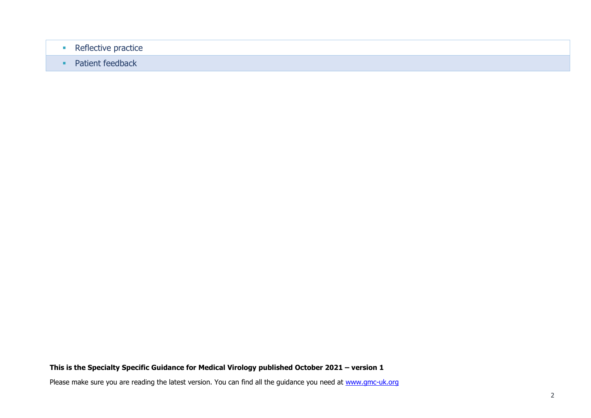- Reflective practice
- Patient feedback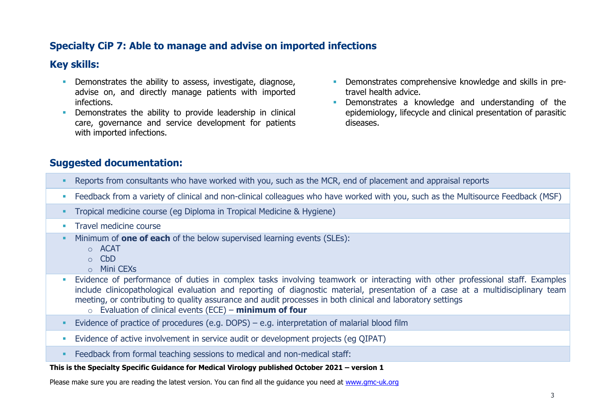### **Specialty CiP 7: Able to manage and advise on imported infections**

### **Key skills:**

- **•** Demonstrates the ability to assess, investigate, diagnose, advise on, and directly manage patients with imported infections.
- **•** Demonstrates the ability to provide leadership in clinical care, governance and service development for patients with imported infections.
- **•** Demonstrates comprehensive knowledge and skills in pretravel health advice.
- **•** Demonstrates a knowledge and understanding of the epidemiology, lifecycle and clinical presentation of parasitic diseases.

### **Suggested documentation:**

- Reports from consultants who have worked with you, such as the MCR, end of placement and appraisal reports
- Feedback from a variety of clinical and non-clinical colleagues who have worked with you, such as the Multisource Feedback (MSF)
- Tropical medicine course (eg Diploma in Tropical Medicine & Hygiene)
- **Travel medicine course**
- Minimum of **one of each** of the below supervised learning events (SLEs):
	- o ACAT
	- $\circ$  C<sub>b</sub>D
	- o Mini CEXs
- **Evidence of performance of duties in complex tasks involving teamwork or interacting with other professional staff. Examples** include clinicopathological evaluation and reporting of diagnostic material, presentation of a case at a multidisciplinary team meeting, or contributing to quality assurance and audit processes in both clinical and laboratory settings
	- o Evaluation of clinical events (ECE) **minimum of four**
- Evidence of practice of procedures (e.g. DOPS) e.g. interpretation of malarial blood film
- **Evidence of active involvement in service audit or development projects (eq QIPAT)**
- Feedback from formal teaching sessions to medical and non-medical staff:

#### **This is the Specialty Specific Guidance for Medical Virology published October 2021 – version 1**